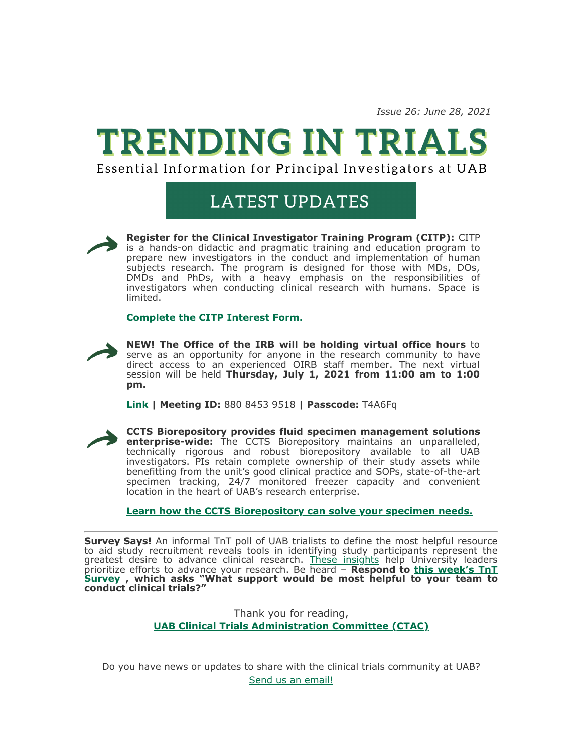*Issue 26: June 28, 2021*

## **TRENDING IN TRIALS**

Essential Information for Principal Investigators at UAB

## **LATEST UPDATES**



**Register for the Clinical Investigator Training Program (CITP):** CITP is a hands-on didactic and pragmatic training and education program to prepare new investigators in the conduct and implementation of human subjects research. The program is designed for those with MDs, DOs, DMDs and PhDs, with a heavy emphasis on the responsibilities of investigators when conducting clinical research with humans. Space is limited.

## **[Complete the CITP Interest Form.](http://click.reach.uab.edu/?qs=febdebdaead0112bcd9a95ee1eb265df1925f7acc78ce5330ef506530c17c1dd151ea298d5e6da59ef015374e271a38d990e06f4c0c1cdd4f455d4401fe7209e)**



**NEW! The Office of the IRB will be holding virtual office hours** to serve as an opportunity for anyone in the research community to have direct access to an experienced OIRB staff member. The next virtual session will be held **Thursday, July 1, 2021 from 11:00 am to 1:00 pm.**

**[Link](http://click.reach.uab.edu/?qs=febdebdaead0112b6d11b006f662941fce14a65df4387645fbc710bf2d5806f1448d4419eef422626f53cd00f034057963d035ec812919600a8944d9098b5722) | Meeting ID:** 880 8453 9518 **| Passcode:** T4A6Fq



**CCTS Biorepository provides fluid specimen management solutions enterprise-wide:** The CCTS Biorepository maintains an unparalleled, technically rigorous and robust biorepository available to all UAB investigators. PIs retain complete ownership of their study assets while benefitting from the unit's good clinical practice and SOPs, state-of-the-art specimen tracking, 24/7 monitored freezer capacity and convenient location in the heart of UAB's research enterprise.

**[Learn how the CCTS Biorepository can solve your specimen needs.](http://click.reach.uab.edu/?qs=febdebdaead0112b36b88fe3655d0349bfd55b83e5d976716bd1ff2d58c247661c81635de3e753bdfc19a02356eff5a1ff43ba3f63e46bcb923ff2f0813f7f3b)**

**Survey Says!** An informal TnT poll of UAB trialists to define the most helpful resource to aid study recruitment reveals tools in identifying study participants represent the greatest desire to advance clinical research. [These insights](http://click.reach.uab.edu/?qs=febdebdaead0112b19e099f545ff3c9977a929455d254ddc6071433d1f12e6603ab85231ad554ac8527104cc4208671ff22d3634ab8510d18f88f1382baf8cac) help University leaders prioritize efforts to advance your research. Be heard – **Respond to this week's TnT Survey [, which asks "What support would be most helpful to your team to](http://click.reach.uab.edu/?qs=febdebdaead0112b1d20e3342c0dfc1bca6a54ca27892d572b0f8c6325483c3257fdf91ace6a9ef6e01aac1b1fedc3249c43cde7bea2d72fd06b2d654b2a78a6) conduct clinical trials?"**

> Thank you for reading, **[UAB Clinical Trials Administration](http://click.reach.uab.edu/?qs=febdebdaead0112b8dcee6d09e103a991269e159c423e4f1d54bdd123c4706720baf1dcb874e3448acd28bca1f6ad698c651975f83c15c8e) Committee (CTAC)**

Do you have news or updates to share with the clinical trials community at UAB? [Send us an email!](mailto:ccts@uab.edu?subject=)